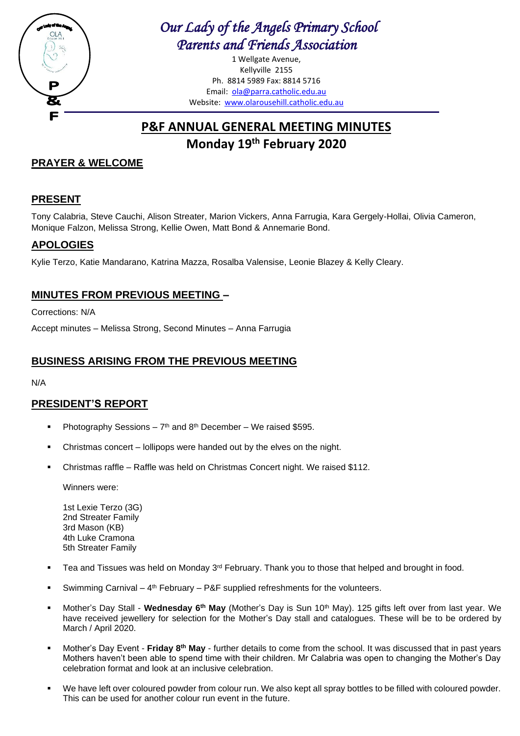

# *Our Lady of the Angels Primary School Parents and Friends Association*

1 Wellgate Avenue, Kellyville 2155 Ph. 8814 5989 Fax: 8814 5716 Email: [ola@parra.catholic.edu.au](mailto:ola@parra.catholic.edu.au) Website: [www.olarousehill.catholic.edu.au](http://www.olarousehill.catholic.edu.au/)

# **P&F ANNUAL GENERAL MEETING MINUTES Monday 19 th February 2020**

## **PRAYER & WELCOME**

## **PRESENT**

Tony Calabria, Steve Cauchi, Alison Streater, Marion Vickers, Anna Farrugia, Kara Gergely-Hollai, Olivia Cameron, Monique Falzon, Melissa Strong, Kellie Owen, Matt Bond & Annemarie Bond.

## **APOLOGIES**

Kylie Terzo, Katie Mandarano, Katrina Mazza, Rosalba Valensise, Leonie Blazey & Kelly Cleary.

## **MINUTES FROM PREVIOUS MEETING –**

Corrections: N/A

Accept minutes – Melissa Strong, Second Minutes – Anna Farrugia

#### **BUSINESS ARISING FROM THE PREVIOUS MEETING**

N/A

### **PRESIDENT'S REPORT**

- **•** Photography Sessions  $7<sup>th</sup>$  and  $8<sup>th</sup>$  December We raised \$595.
- Christmas concert lollipops were handed out by the elves on the night.
- Christmas raffle Raffle was held on Christmas Concert night. We raised \$112.

Winners were:

1st Lexie Terzo (3G) 2nd Streater Family 3rd Mason (KB) 4th Luke Cramona 5th Streater Family

- Tea and Tissues was held on Monday  $3^{rd}$  February. Thank you to those that helped and brought in food.
- **EXA** Swimming Carnival  $-4$ <sup>th</sup> February  $-$  P&F supplied refreshments for the volunteers.
- Mother's Day Stall Wednesday 6<sup>th</sup> May (Mother's Day is Sun 10<sup>th</sup> May). 125 gifts left over from last year. We have received jewellery for selection for the Mother's Day stall and catalogues. These will be to be ordered by March / April 2020.
- Mother's Day Event **Friday 8<sup>th</sup> May** further details to come from the school. It was discussed that in past years Mothers haven't been able to spend time with their children. Mr Calabria was open to changing the Mother's Day celebration format and look at an inclusive celebration.
- We have left over coloured powder from colour run. We also kept all spray bottles to be filled with coloured powder. This can be used for another colour run event in the future.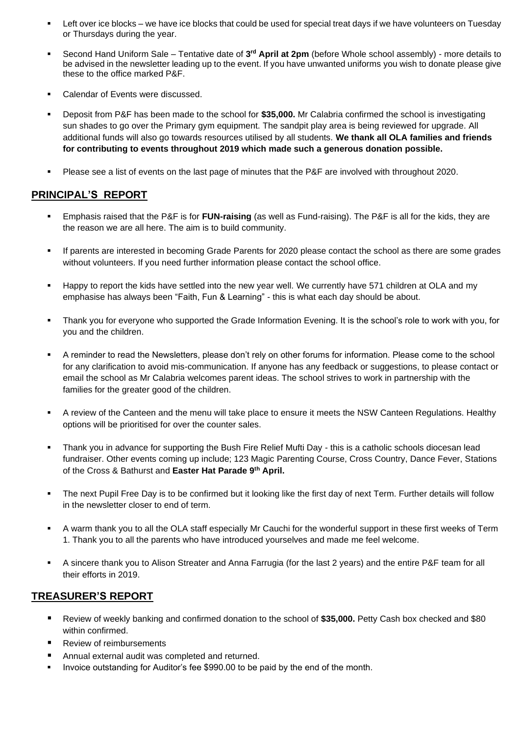- Left over ice blocks we have ice blocks that could be used for special treat days if we have volunteers on Tuesday or Thursdays during the year.
- **EXECONDER 18 INCO HANDIFY SAME:** Tentative date of 3<sup>rd</sup> April at 2pm (before Whole school assembly) more details to be advised in the newsletter leading up to the event. If you have unwanted uniforms you wish to donate please give these to the office marked P&F.
- Calendar of Events were discussed.
- Deposit from P&F has been made to the school for \$35,000. Mr Calabria confirmed the school is investigating sun shades to go over the Primary gym equipment. The sandpit play area is being reviewed for upgrade. All additional funds will also go towards resources utilised by all students. **We thank all OLA families and friends for contributing to events throughout 2019 which made such a generous donation possible.**
- Please see a list of events on the last page of minutes that the P&F are involved with throughout 2020.

#### **PRINCIPAL'S REPORT**

- Emphasis raised that the P&F is for **FUN-raising** (as well as Fund-raising). The P&F is all for the kids, they are the reason we are all here. The aim is to build community.
- If parents are interested in becoming Grade Parents for 2020 please contact the school as there are some grades without volunteers. If you need further information please contact the school office.
- Happy to report the kids have settled into the new year well. We currently have 571 children at OLA and my emphasise has always been "Faith, Fun & Learning" - this is what each day should be about.
- Thank you for everyone who supported the Grade Information Evening. It is the school's role to work with you, for you and the children.
- A reminder to read the Newsletters, please don't rely on other forums for information. Please come to the school for any clarification to avoid mis-communication. If anyone has any feedback or suggestions, to please contact or email the school as Mr Calabria welcomes parent ideas. The school strives to work in partnership with the families for the greater good of the children.
- A review of the Canteen and the menu will take place to ensure it meets the NSW Canteen Regulations. Healthy options will be prioritised for over the counter sales.
- Thank you in advance for supporting the Bush Fire Relief Mufti Day this is a catholic schools diocesan lead fundraiser. Other events coming up include; 123 Magic Parenting Course, Cross Country, Dance Fever, Stations of the Cross & Bathurst and **Easter Hat Parade 9th April.**
- The next Pupil Free Day is to be confirmed but it looking like the first day of next Term. Further details will follow in the newsletter closer to end of term.
- A warm thank you to all the OLA staff especially Mr Cauchi for the wonderful support in these first weeks of Term 1. Thank you to all the parents who have introduced yourselves and made me feel welcome.
- A sincere thank you to Alison Streater and Anna Farrugia (for the last 2 years) and the entire P&F team for all their efforts in 2019.

#### **TREASURER'S REPORT**

- Review of weekly banking and confirmed donation to the school of **\$35,000.** Petty Cash box checked and \$80 within confirmed.
- **Review of reimbursements**
- Annual external audit was completed and returned.
- Invoice outstanding for Auditor's fee \$990.00 to be paid by the end of the month.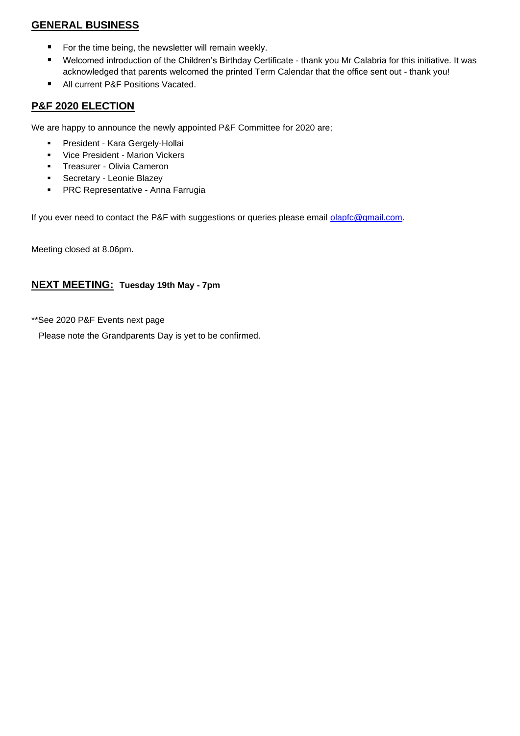#### **GENERAL BUSINESS**

- For the time being, the newsletter will remain weekly.
- Welcomed introduction of the Children's Birthday Certificate thank you Mr Calabria for this initiative. It was acknowledged that parents welcomed the printed Term Calendar that the office sent out - thank you!
- All current P&F Positions Vacated.

#### **P&F 2020 ELECTION**

We are happy to announce the newly appointed P&F Committee for 2020 are;

- President Kara Gergely-Hollai
- Vice President Marion Vickers
- Treasurer Olivia Cameron
- Secretary Leonie Blazey
- **PRC Representative Anna Farrugia**

If you ever need to contact the P&F with suggestions or queries please email [olapfc@gmail.com.](mailto:olapfc@gmail.com)

Meeting closed at 8.06pm.

#### **NEXT MEETING: Tuesday 19th May - 7pm**

\*\*See 2020 P&F Events next page

Please note the Grandparents Day is yet to be confirmed.